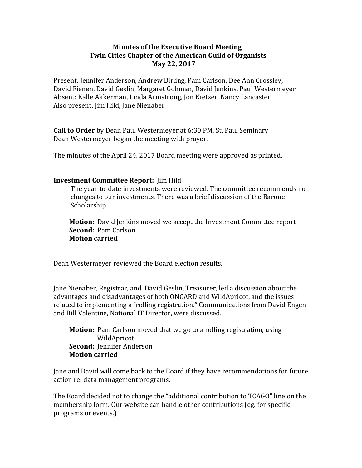#### **Minutes of the Executive Board Meeting Twin Cities Chapter of the American Guild of Organists May 22, 2017**

Present: Jennifer Anderson, Andrew Birling, Pam Carlson, Dee Ann Crossley, David Fienen, David Geslin, Margaret Gohman, David Jenkins, Paul Westermeyer Absent: Kalle Akkerman, Linda Armstrong, Jon Kietzer, Nancy Lancaster Also present: Jim Hild, Jane Nienaber

**Call to Order** by Dean Paul Westermeyer at 6:30 PM, St. Paul Seminary Dean Westermeyer began the meeting with prayer.

The minutes of the April 24, 2017 Board meeting were approved as printed.

#### **Investment Committee Report:** Jim Hild

The year-to-date investments were reviewed. The committee recommends no changes to our investments. There was a brief discussion of the Barone Scholarship.

**Motion:** David Jenkins moved we accept the Investment Committee report **Second: Pam Carlson Motion carried** 

Dean Westermeyer reviewed the Board election results.

Jane Nienaber, Registrar, and David Geslin, Treasurer, led a discussion about the advantages and disadvantages of both ONCARD and WildApricot, and the issues related to implementing a "rolling registration." Communications from David Engen and Bill Valentine, National IT Director, were discussed.

**Motion:** Pam Carlson moved that we go to a rolling registration, using WildApricot. **Second: Iennifer Anderson Motion carried**

Jane and David will come back to the Board if they have recommendations for future action re: data management programs.

The Board decided not to change the "additional contribution to TCAGO" line on the membership form. Our website can handle other contributions (eg. for specific programs or events.)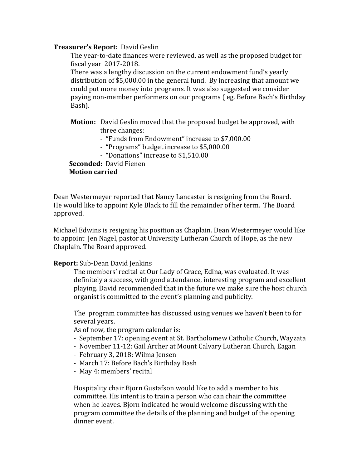#### **Treasurer's Report: David Geslin**

The year-to-date finances were reviewed, as well as the proposed budget for fiscal year 2017-2018.

There was a lengthy discussion on the current endowment fund's yearly distribution of \$5,000.00 in the general fund. By increasing that amount we could put more money into programs. It was also suggested we consider paying non-member performers on our programs (eg. Before Bach's Birthday Bash).

- **Motion:** David Geslin moved that the proposed budget be approved, with three changes:
	- "Funds from Endowment" increase to \$7,000.00
	- "Programs" budget increase to \$5,000.00
	- "Donations" increase to \$1,510.00

**Seconded: David Fienen Motion carried**

Dean Westermeyer reported that Nancy Lancaster is resigning from the Board. He would like to appoint Kyle Black to fill the remainder of her term. The Board approved.

Michael Edwins is resigning his position as Chaplain. Dean Westermeyer would like to appoint Jen Nagel, pastor at University Lutheran Church of Hope, as the new Chaplain. The Board approved.

### **Report:** Sub-Dean David Jenkins

The members' recital at Our Lady of Grace, Edina, was evaluated. It was definitely a success, with good attendance, interesting program and excellent playing. David recommended that in the future we make sure the host church organist is committed to the event's planning and publicity.

The program committee has discussed using venues we haven't been to for several years.

As of now, the program calendar is:

- September 17: opening event at St. Bartholomew Catholic Church, Wayzata
- November 11-12: Gail Archer at Mount Calvary Lutheran Church, Eagan
- February 3, 2018: Wilma Jensen
- March 17: Before Bach's Birthday Bash
- May 4: members' recital

Hospitality chair Bjorn Gustafson would like to add a member to his committee. His intent is to train a person who can chair the committee when he leaves. Bjorn indicated he would welcome discussing with the program committee the details of the planning and budget of the opening dinner event.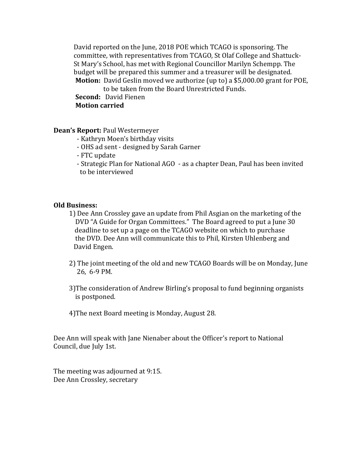David reported on the June, 2018 POE which TCAGO is sponsoring. The committee, with representatives from TCAGO, St Olaf College and Shattuck-St Mary's School, has met with Regional Councillor Marilyn Schempp. The budget will be prepared this summer and a treasurer will be designated. **Motion:** David Geslin moved we authorize (up to) a \$5,000.00 grant for POE, to be taken from the Board Unrestricted Funds.

**Second:** David Fienen

## **Motion carried**

**Dean's Report: Paul Westermeyer** 

- Kathryn Moen's birthday visits
- OHS ad sent designed by Sarah Garner
- FTC update

- Strategic Plan for National AGO - as a chapter Dean, Paul has been invited to be interviewed

### **Old Business:**

- 1) Dee Ann Crossley gave an update from Phil Asgian on the marketing of the DVD "A Guide for Organ Committees." The Board agreed to put a June 30 deadline to set up a page on the TCAGO website on which to purchase the DVD. Dee Ann will communicate this to Phil, Kirsten Uhlenberg and David Engen.
- 2) The joint meeting of the old and new TCAGO Boards will be on Monday, June 26, 6-9 PM.
- 3) The consideration of Andrew Birling's proposal to fund beginning organists is postponed.
- 4) The next Board meeting is Monday, August 28.

Dee Ann will speak with Jane Nienaber about the Officer's report to National Council, due July 1st.

The meeting was adjourned at 9:15. Dee Ann Crossley, secretary